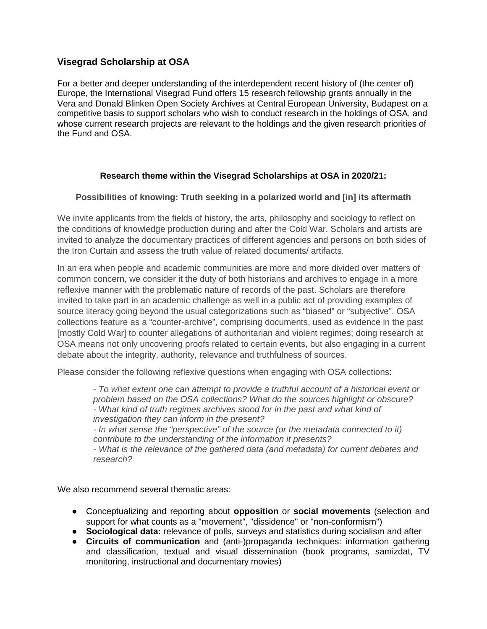# **Visegrad Scholarship at OSA**

For a better and deeper understanding of the interdependent recent history of (the center of) Europe, the International Visegrad Fund offers 15 research fellowship grants annually in the Vera and Donald Blinken Open Society Archives at Central European University, Budapest on a competitive basis to support scholars who wish to conduct research in the holdings of OSA, and whose current research projects are relevant to the holdings and the given research priorities of the Fund and OSA.

# **Research theme within the Visegrad Scholarships at OSA in 2020/21:**

### **Possibilities of knowing: Truth seeking in a polarized world and [in] its aftermath**

We invite applicants from the fields of history, the arts, philosophy and sociology to reflect on the conditions of knowledge production during and after the Cold War. Scholars and artists are invited to analyze the documentary practices of different agencies and persons on both sides of the Iron Curtain and assess the truth value of related documents/ artifacts.

In an era when people and academic communities are more and more divided over matters of common concern, we consider it the duty of both historians and archives to engage in a more reflexive manner with the problematic nature of records of the past. Scholars are therefore invited to take part in an academic challenge as well in a public act of providing examples of source literacy going beyond the usual categorizations such as "biased" or "subjective". OSA collections feature as a "counter-archive", comprising documents, used as evidence in the past [mostly Cold War] to counter allegations of authoritarian and violent regimes; doing research at OSA means not only uncovering proofs related to certain events, but also engaging in a current debate about the integrity, authority, relevance and truthfulness of sources.

Please consider the following reflexive questions when engaging with OSA collections:

*- To what extent one can attempt to provide a truthful account of a historical event or problem based on the OSA collections? What do the sources highlight or obscure? - What kind of truth regimes archives stood for in the past and what kind of investigation they can inform in the present? - In what sense the "perspective" of the source (or the metadata connected to it) contribute to the understanding of the information it presents? - What is the relevance of the gathered data (and metadata) for current debates and research?*

We also recommend several thematic areas:

- Conceptualizing and reporting about **opposition** or **social movements** (selection and support for what counts as a "movement", "dissidence" or "non-conformism")
- **Sociological data:** relevance of polls, surveys and statistics during socialism and after
- **Circuits of communication** and (anti-)propaganda techniques: information gathering and classification, textual and visual dissemination (book programs, samizdat, TV monitoring, instructional and documentary movies)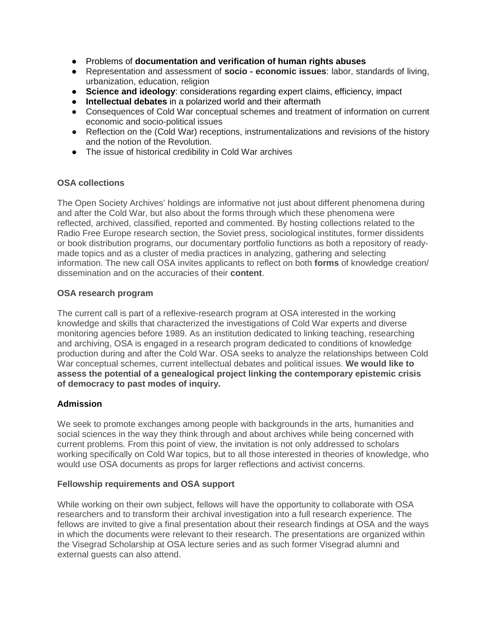- Problems of **documentation and verification of human rights abuses**
- Representation and assessment of **socio - economic issues**: labor, standards of living, urbanization, education, religion
- **Science and ideology**: considerations regarding expert claims, efficiency, impact
- **Intellectual debates** in a polarized world and their aftermath
- Consequences of Cold War conceptual schemes and treatment of information on current economic and socio-political issues
- Reflection on the (Cold War) receptions, instrumentalizations and revisions of the history and the notion of the Revolution.
- The issue of historical credibility in Cold War archives

#### **OSA collections**

The Open Society Archives' holdings are informative not just about different phenomena during and after the Cold War, but also about the forms through which these phenomena were reflected, archived, classified, reported and commented. By hosting collections related to the Radio Free Europe research section, the Soviet press, sociological institutes, former dissidents or book distribution programs, our documentary portfolio functions as both a repository of readymade topics and as a cluster of media practices in analyzing, gathering and selecting information. The new call OSA invites applicants to reflect on both **forms** of knowledge creation/ dissemination and on the accuracies of their **content**.

#### **OSA research program**

The current call is part of a reflexive-research program at OSA interested in the working knowledge and skills that characterized the investigations of Cold War experts and diverse monitoring agencies before 1989. As an institution dedicated to linking teaching, researching and archiving, OSA is engaged in a research program dedicated to conditions of knowledge production during and after the Cold War. OSA seeks to analyze the relationships between Cold War conceptual schemes, current intellectual debates and political issues. **We would like to assess the potential of a genealogical project linking the contemporary epistemic crisis of democracy to past modes of inquiry.** 

### **Admission**

We seek to promote exchanges among people with backgrounds in the arts, humanities and social sciences in the way they think through and about archives while being concerned with current problems. From this point of view, the invitation is not only addressed to scholars working specifically on Cold War topics, but to all those interested in theories of knowledge, who would use OSA documents as props for larger reflections and activist concerns.

#### **Fellowship requirements and OSA support**

While working on their own subject, fellows will have the opportunity to collaborate with OSA researchers and to transform their archival investigation into a full research experience. The fellows are invited to give a final presentation about their research findings at OSA and the ways in which the documents were relevant to their research. The presentations are organized within the Visegrad Scholarship at OSA lecture series and as such former Visegrad alumni and external guests can also attend.